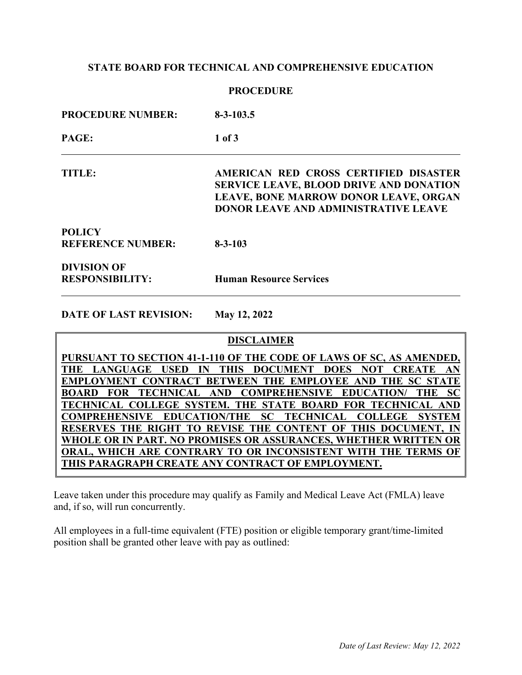# **STATE BOARD FOR TECHNICAL AND COMPREHENSIVE EDUCATION**

## **PROCEDURE**

| <b>PROCEDURE NUMBER:</b>                     | $8 - 3 - 103.5$                                                                                                                                                                 |  |  |  |  |  |  |
|----------------------------------------------|---------------------------------------------------------------------------------------------------------------------------------------------------------------------------------|--|--|--|--|--|--|
| PAGE:                                        | $1$ of $3$                                                                                                                                                                      |  |  |  |  |  |  |
| TITLE:                                       | AMERICAN RED CROSS CERTIFIED DISASTER<br><b>SERVICE LEAVE, BLOOD DRIVE AND DONATION</b><br>LEAVE, BONE MARROW DONOR LEAVE, ORGAN<br><b>DONOR LEAVE AND ADMINISTRATIVE LEAVE</b> |  |  |  |  |  |  |
| <b>POLICY</b><br><b>REFERENCE NUMBER:</b>    | $8 - 3 - 103$                                                                                                                                                                   |  |  |  |  |  |  |
| <b>DIVISION OF</b><br><b>RESPONSIBILITY:</b> | <b>Human Resource Services</b>                                                                                                                                                  |  |  |  |  |  |  |

**DATE OF LAST REVISION: May 12, 2022** 

# **DISCLAIMER**

| PURSUANT TO SECTION 41-1-110 OF THE CODE OF LAWS OF SC, AS AMENDED, |  |  |  |  |  |
|---------------------------------------------------------------------|--|--|--|--|--|
| THE LANGUAGE USED IN THIS DOCUMENT DOES NOT CREATE AN               |  |  |  |  |  |
| EMPLOYMENT CONTRACT BETWEEN THE EMPLOYEE AND THE SC STATE           |  |  |  |  |  |
| BOARD FOR TECHNICAL AND COMPREHENSIVE EDUCATION/ THE SC             |  |  |  |  |  |
| TECHNICAL COLLEGE SYSTEM. THE STATE BOARD FOR TECHNICAL AND         |  |  |  |  |  |
| COMPREHENSIVE EDUCATION/THE SC TECHNICAL COLLEGE SYSTEM             |  |  |  |  |  |
| RESERVES THE RIGHT TO REVISE THE CONTENT OF THIS DOCUMENT, IN       |  |  |  |  |  |
| WHOLE OR IN PART. NO PROMISES OR ASSURANCES, WHETHER WRITTEN OR     |  |  |  |  |  |
| ORAL, WHICH ARE CONTRARY TO OR INCONSISTENT WITH THE TERMS OF       |  |  |  |  |  |
| THIS PARAGRAPH CREATE ANY CONTRACT OF EMPLOYMENT.                   |  |  |  |  |  |

Leave taken under this procedure may qualify as Family and Medical Leave Act (FMLA) leave and, if so, will run concurrently.

All employees in a full-time equivalent (FTE) position or eligible temporary grant/time-limited position shall be granted other leave with pay as outlined: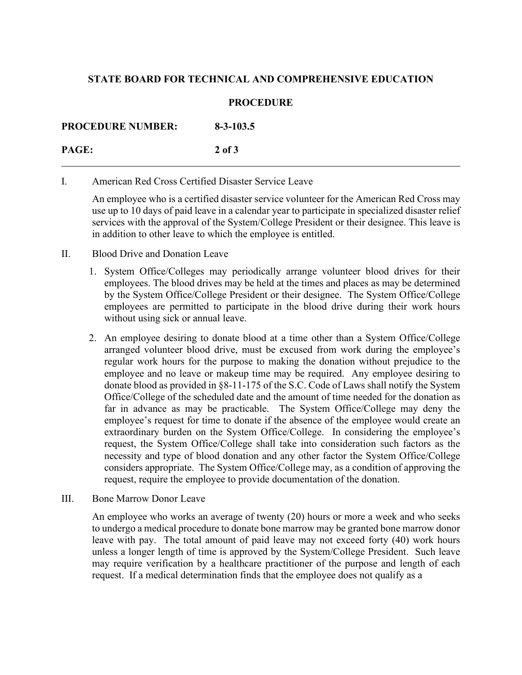# **STATE BOARD FOR TECHNICAL AND COMPREHENSIVE EDUCATION**

## **PROCEDURE**

**PROCEDURE NUMBER: 8-3-103.5 PAGE: 2 of 3**

I. American Red Cross Certified Disaster Service Leave

An employee who is a certified disaster service volunteer for the American Red Cross may use up to 10 days of paid leave in a calendar year to participate in specialized disaster relief services with the approval of the System/College President or their designee. This leave is in addition to other leave to which the employee is entitled.

- II. Blood Drive and Donation Leave
	- 1. System Office/Colleges may periodically arrange volunteer blood drives for their employees. The blood drives may be held at the times and places as may be determined by the System Office/College President or their designee. The System Office/College employees are permitted to participate in the blood drive during their work hours without using sick or annual leave.
	- 2. An employee desiring to donate blood at a time other than a System Office/College arranged volunteer blood drive, must be excused from work during the employee's regular work hours for the purpose to making the donation without prejudice to the employee and no leave or makeup time may be required. Any employee desiring to donate blood as provided in §8-11-175 of the S.C. Code of Laws shall notify the System Office/College of the scheduled date and the amount of time needed for the donation as far in advance as may be practicable. The System Office/College may deny the employee's request for time to donate if the absence of the employee would create an extraordinary burden on the System Office/College. In considering the employee's request, the System Office/College shall take into consideration such factors as the necessity and type of blood donation and any other factor the System Office/College considers appropriate. The System Office/College may, as a condition of approving the request, require the employee to provide documentation of the donation.
- III. Bone Marrow Donor Leave

An employee who works an average of twenty (20) hours or more a week and who seeks to undergo a medical procedure to donate bone marrow may be granted bone marrow donor leave with pay. The total amount of paid leave may not exceed forty (40) work hours unless a longer length of time is approved by the System/College President. Such leave may require verification by a healthcare practitioner of the purpose and length of each request. If a medical determination finds that the employee does not qualify as a